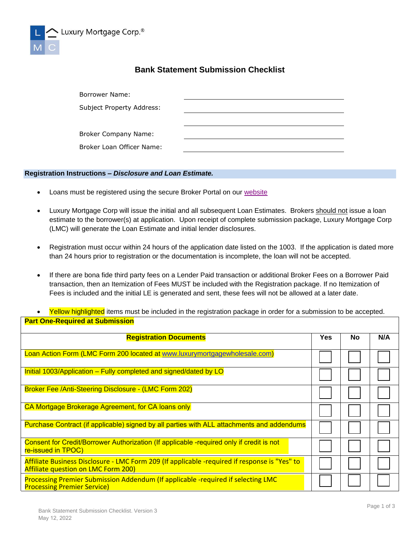

## **Bank Statement Submission Checklist**

| Borrower Name:              |  |
|-----------------------------|--|
| Subject Property Address:   |  |
|                             |  |
| <b>Broker Company Name:</b> |  |
| Broker Loan Officer Name:   |  |

## **Registration Instructions –** *Disclosure and Loan Estimate.*

- Loans must be registered using the secure Broker Portal on our [website](http://www.luxurymortgagewholesale.com/)
- Luxury Mortgage Corp will issue the initial and all subsequent Loan Estimates. Brokers should not issue a loan estimate to the borrower(s) at application. Upon receipt of complete submission package, Luxury Mortgage Corp (LMC) will generate the Loan Estimate and initial lender disclosures.
- Registration must occur within 24 hours of the application date listed on the 1003. If the application is dated more than 24 hours prior to registration or the documentation is incomplete, the loan will not be accepted.
- If there are bona fide third party fees on a Lender Paid transaction or additional Broker Fees on a Borrower Paid transaction, then an Itemization of Fees MUST be included with the Registration package. If no Itemization of Fees is included and the initial LE is generated and sent, these fees will not be allowed at a later date.
- Yellow highlighted items must be included in the registration package in order for a submission to be accepted. **Part One-Required at Submission**

| <b>Registration Documents</b>                                                                                                               | <b>Yes</b> | <b>No</b> | N/A |
|---------------------------------------------------------------------------------------------------------------------------------------------|------------|-----------|-----|
| Loan Action Form (LMC Form 200 located at www.luxurymortgagewholesale.com)                                                                  |            |           |     |
| Initial 1003/Application – Fully completed and signed/dated by LO                                                                           |            |           |     |
| <b>Broker Fee /Anti-Steering Disclosure - (LMC Form 202)</b>                                                                                |            |           |     |
| CA Mortgage Brokerage Agreement, for CA loans only                                                                                          |            |           |     |
| Purchase Contract (if applicable) signed by all parties with ALL attachments and addendums                                                  |            |           |     |
| Consent for Credit/Borrower Authorization (If applicable -required only if credit is not<br>re-issued in TPOC)                              |            |           |     |
| Affiliate Business Disclosure - LMC Form 209 (If applicable -required if response is "Yes" to<br><b>Affiliate question on LMC Form 200)</b> |            |           |     |
| Processing Premier Submission Addendum (If applicable -required if selecting LMC<br><b>Processing Premier Service)</b>                      |            |           |     |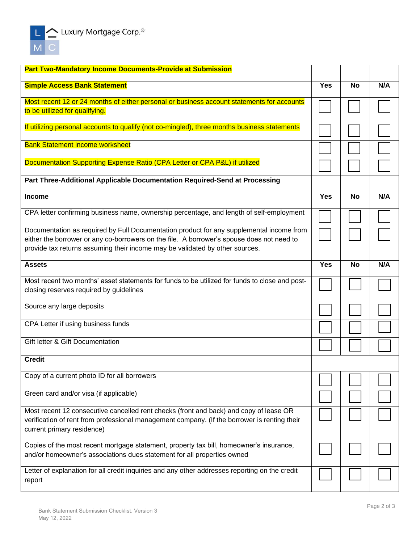| <b>Part Two-Mandatory Income Documents-Provide at Submission</b>                                                                                                                                                     |            |           |     |
|----------------------------------------------------------------------------------------------------------------------------------------------------------------------------------------------------------------------|------------|-----------|-----|
| <b>Simple Access Bank Statement</b>                                                                                                                                                                                  |            | <b>No</b> | N/A |
| Most recent 12 or 24 months of either personal or business account statements for accounts<br>to be utilized for qualifying.                                                                                         |            |           |     |
| If utilizing personal accounts to qualify (not co-mingled), three months business statements                                                                                                                         |            |           |     |
|                                                                                                                                                                                                                      |            |           |     |
| <b>Bank Statement income worksheet</b>                                                                                                                                                                               |            |           |     |
| Documentation Supporting Expense Ratio (CPA Letter or CPA P&L) if utilized                                                                                                                                           |            |           |     |
| Part Three-Additional Applicable Documentation Required-Send at Processing                                                                                                                                           |            |           |     |
| <b>Income</b>                                                                                                                                                                                                        | <b>Yes</b> | <b>No</b> | N/A |
| CPA letter confirming business name, ownership percentage, and length of self-employment                                                                                                                             |            |           |     |
| Documentation as required by Full Documentation product for any supplemental income from<br>either the borrower or any co-borrowers on the file. A borrower's spouse does not need to                                |            |           |     |
| provide tax returns assuming their income may be validated by other sources.                                                                                                                                         |            |           |     |
| <b>Assets</b>                                                                                                                                                                                                        | <b>Yes</b> | <b>No</b> | N/A |
| Most recent two months' asset statements for funds to be utilized for funds to close and post-<br>closing reserves required by guidelines                                                                            |            |           |     |
| Source any large deposits                                                                                                                                                                                            |            |           |     |
| CPA Letter if using business funds                                                                                                                                                                                   |            |           |     |
| Gift letter & Gift Documentation                                                                                                                                                                                     |            |           |     |
| <b>Credit</b>                                                                                                                                                                                                        |            |           |     |
| Copy of a current photo ID for all borrowers                                                                                                                                                                         |            |           |     |
| Green card and/or visa (if applicable)                                                                                                                                                                               |            |           |     |
| Most recent 12 consecutive cancelled rent checks (front and back) and copy of lease OR<br>verification of rent from professional management company. (If the borrower is renting their<br>current primary residence) |            |           |     |
| Copies of the most recent mortgage statement, property tax bill, homeowner's insurance,<br>and/or homeowner's associations dues statement for all properties owned                                                   |            |           |     |
| Letter of explanation for all credit inquiries and any other addresses reporting on the credit<br>report                                                                                                             |            |           |     |